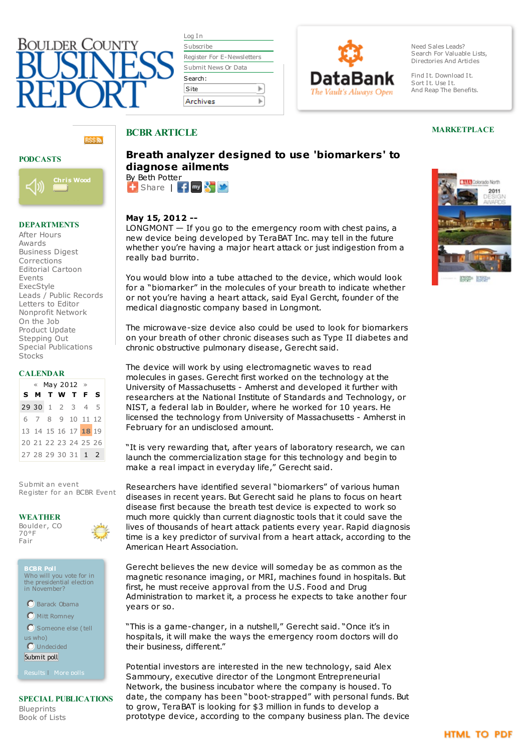

| Log In                     |  |  |  |
|----------------------------|--|--|--|
| Subscribe                  |  |  |  |
| Register For E-Newsletters |  |  |  |
| Submit News Or Data        |  |  |  |
| Search:                    |  |  |  |
|                            |  |  |  |
| Site                       |  |  |  |



Need Sales Leads? Search For Valuable Lists, [Directories](http://www.bcbr.com/lists.asp) And Articles

Find It. Download It. Sort It. Use It. And Reap The Benefits.

## **RSS<sub>3</sub>**

### **PODCASTS**



### **DEPARTMENTS**

After [Hours](http://www.bcbr.com/afterhours.asp) [Awards](http://www.bcbr.com/dept.asp?name=awards) [Business](http://www.bcbr.com/dept.asp?name=Business Digest) Digest [Corrections](http://www.bcbr.com/dept.asp?name=Corrections) [Editorial](http://www.bcbr.com/cartoon.asp) Cartoon [Events](http://www.bcbr.com/bcbr_events.asp) [ExecStyle](http://www.bcbr.com/dept.asp?name=execstyle) Leads / Public [Records](http://bcbr.datajoe.com/app/ecom/pub_publicrecords.php?id=3) [Letters](http://www.bcbr.com/dept.asp?name=Letters) to Editor [Nonprofit](http://www.bcbr.com/dept.asp?name=Nonprofit Network) Network On [the](http://www.bcbr.com/dept.asp?name=on the job) Job [Product](http://www.bcbr.com/dept.asp?name=Product Update) Update [Stepping](http://www.bcbr.com/dept.asp?name=Stepping Out) Out Special [Publications](http://www.bcbr.com/section.asp?secID=19) **[Stocks](http://www.bcbr.com/stocks.asp)** 

### **CALENDAR**

| $\ll$ May 2012 $\gg$ |  |  |  |  |                      |  |
|----------------------|--|--|--|--|----------------------|--|
|                      |  |  |  |  | <b>SMTWTFS</b>       |  |
|                      |  |  |  |  | 29 30 1 2 3 4 5      |  |
|                      |  |  |  |  | 6 7 8 9 10 11 12     |  |
|                      |  |  |  |  | 13 14 15 16 17 18 19 |  |
|                      |  |  |  |  | 20 21 22 23 24 25 26 |  |
|                      |  |  |  |  | 27 28 29 30 31 1 2   |  |

[Submit](http://www.bcbr.com/event_submit.asp) an event [Register](http://www.bcbr.com/bcbr_events.asp) for an BCBR Event

### **WEATHER**



**BCBR Poll** Who will you vote for in the presidential election in November?

Barack Obama

**O** Mitt Romney

Someone else (tell us who)

**O** Undecided

Submit poll

[Results](http://www.bcbr.com/poll.asp?showresults=yes¤t=yes&id=127) | [More](http://www.bcbr.com/poll.asp?archive=yes) polls

#### **SPECIAL PUBLICATIONS** [Blueprints](http://www.bcbr.com/section.asp?secID=5) [Book](http://www.bcbr.com/section.asp?secID=7) of Lists

# **Breath analyzer designed to use 'biomarkers' to diagnose ailments**

 $\pm$  [Share](http://www.addthis.com/bookmark.php?v=250&username=bcbr)  $\pm$   $\pm$   $\pm$   $\pm$ By Beth Potter

# **May 15, 2012 --**

**BCBR ARTICLE**

 $LONGMONT - If you go to the emergency room with chest pairs, a$ new device being developed by TeraBAT Inc. may tell in the future whether you're having a major heart attack or just indigestion from a really bad burrito.

You would blow into a tube attached to the device, which would look for a "biomarker" in the molecules of your breath to indicate whether or not you're having a heart attack, said Eyal Gercht, founder of the medical diagnostic company based in Longmont.

The microwave-size device also could be used to look for biomarkers on your breath of other chronic diseases such as Type II diabetes and chronic obstructive pulmonary disease, Gerecht said.

The device will work by using electromagnetic waves to read molecules in gases. Gerecht first worked on the technology at the University of Massachusetts - Amherst and developed it further with researchers at the National Institute of Standards and Technology, or NIST, a federal lab in Boulder, where he worked for 10 years. He licensed the technology from University of Massachusetts - Amherst in February for an undisclosed amount.

"It is very rewarding that, after years of laboratory research, we can launch the commercialization stage for this technology and begin to make a real impact in everyday life," Gerecht said.

Researchers have identified several "biomarkers" of various human diseases in recent years. But Gerecht said he plans to focus on heart disease first because the breath test device is expected to work so much more quickly than current diagnostic tools that it could save the lives of thousands of heart attack patients every year. Rapid diagnosis time is a key predictor of survival from a heart attack, according to the American Heart Association.

Gerecht believes the new device will someday be as common as the magnetic resonance imaging, or MRI, machines found in hospitals. But first, he must receive approval from the U.S. Food and Drug Administration to market it, a process he expects to take another four years or so.

"This is a game-changer, in a nutshell," Gerecht said. "Once it's in hospitals, it will make the ways the emergency room doctors will do their business, different."

Potential investors are interested in the new technology, said Alex Sammoury, executive director of the Longmont Entrepreneurial Network, the business incubator where the company is housed. To date, the company has been "boot-strapped" with personal funds. But to grow, TeraBAT is looking for \$3 million in funds to develop a prototype device, according to the company business plan. The device



**MARKETPLACE**